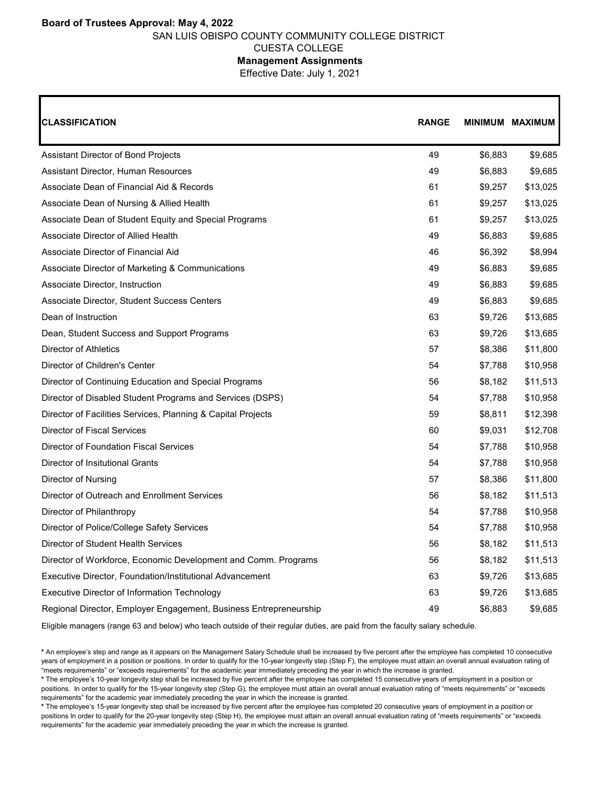## **Board of Trustees Approval: May 4, 2022** SAN LUIS OBISPO COUNTY COMMUNITY COLLEGE DISTRICT CUESTA COLLEGE

## **Management Assignments**

Effective Date: July 1, 2021

| <b>CLASSIFICATION</b>                                             | <b>RANGE</b> | MINIMUM MAXIMUM |          |
|-------------------------------------------------------------------|--------------|-----------------|----------|
| Assistant Director of Bond Projects                               | 49           | \$6,883         | \$9,685  |
| Assistant Director, Human Resources                               | 49           | \$6,883         | \$9,685  |
| Associate Dean of Financial Aid & Records                         | 61           | \$9,257         | \$13,025 |
| Associate Dean of Nursing & Allied Health                         | 61           | \$9,257         | \$13,025 |
| Associate Dean of Student Equity and Special Programs             | 61           | \$9,257         | \$13,025 |
| Associate Director of Allied Health                               | 49           | \$6,883         | \$9,685  |
| Associate Director of Financial Aid                               | 46           | \$6,392         | \$8,994  |
| Associate Director of Marketing & Communications                  | 49           | \$6,883         | \$9,685  |
| Associate Director, Instruction                                   | 49           | \$6,883         | \$9,685  |
| Associate Director, Student Success Centers                       | 49           | \$6,883         | \$9,685  |
| Dean of Instruction                                               | 63           | \$9,726         | \$13,685 |
| Dean, Student Success and Support Programs                        | 63           | \$9,726         | \$13,685 |
| Director of Athletics                                             | 57           | \$8,386         | \$11,800 |
| Director of Children's Center                                     | 54           | \$7,788         | \$10,958 |
| Director of Continuing Education and Special Programs             | 56           | \$8,182         | \$11,513 |
| Director of Disabled Student Programs and Services (DSPS)         | 54           | \$7,788         | \$10,958 |
| Director of Facilities Services, Planning & Capital Projects      | 59           | \$8,811         | \$12,398 |
| Director of Fiscal Services                                       | 60           | \$9,031         | \$12,708 |
| <b>Director of Foundation Fiscal Services</b>                     | 54           | \$7,788         | \$10,958 |
| Director of Insitutional Grants                                   | 54           | \$7,788         | \$10,958 |
| Director of Nursing                                               | 57           | \$8,386         | \$11,800 |
| Director of Outreach and Enrollment Services                      | 56           | \$8,182         | \$11,513 |
| Director of Philanthropy                                          | 54           | \$7,788         | \$10,958 |
| Director of Police/College Safety Services                        | 54           | \$7,788         | \$10,958 |
| Director of Student Health Services                               | 56           | \$8,182         | \$11,513 |
| Director of Workforce, Economic Development and Comm. Programs    | 56           | \$8,182         | \$11,513 |
| Executive Director, Foundation/Institutional Advancement          | 63           | \$9,726         | \$13,685 |
| Executive Director of Information Technology                      | 63           | \$9,726         | \$13,685 |
| Regional Director, Employer Engagement, Business Entrepreneurship | 49           | \$6,883         | \$9,685  |

Eligible managers (range 63 and below) who teach outside of their regular duties, are paid from the faculty salary schedule.

**<sup>\*</sup>** An employee's step and range as it appears on the Management Salary Schedule shall be increased by five percent after the employee has completed 10 consecutive years of employment in a position or positions. In order to qualify for the 10-year longevity step (Step F), the employee must attain an overall annual evaluation rating of "meets requirements" or "exceeds requirements" for the academic year immediately preceding the year in which the increase is granted.

**<sup>\*</sup>** The employee's 10-year longevity step shall be increased by five percent after the employee has completed 15 consecutive years of employment in a position or positions. In order to qualify for the 15-year longevity step (Step G), the employee must attain an overall annual evaluation rating of "meets requirements" or "exceeds requirements" for the academic year immediately preceding the year in which the increase is granted.

**<sup>\*</sup>** The employee's 15-year longevity step shall be increased by five percent after the employee has completed 20 consecutive years of employment in a position or positions In order to qualify for the 20-year longevity step (Step H), the employee must attain an overall annual evaluation rating of "meets requirements" or "exceeds requirements" for the academic year immediately preceding the year in which the increase is granted.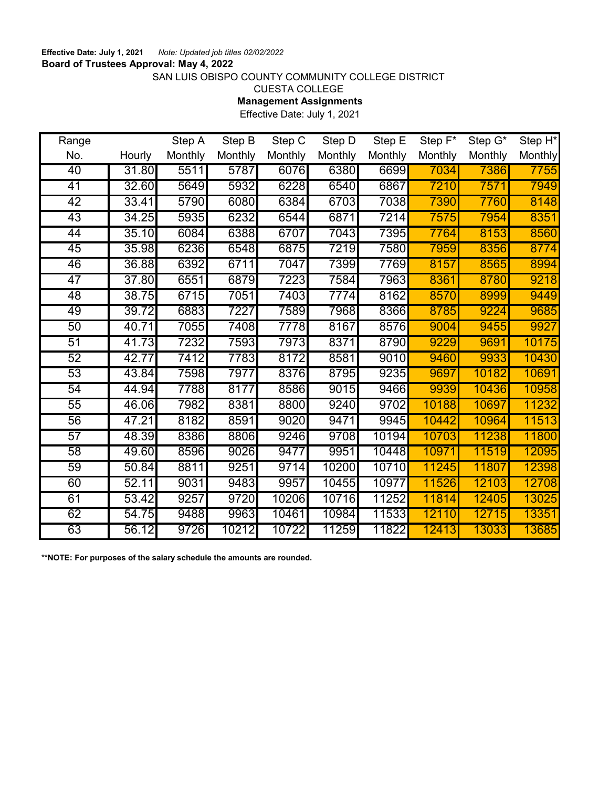## SAN LUIS OBISPO COUNTY COMMUNITY COLLEGE DISTRICT

CUESTA COLLEGE

**Management Assignments**

Effective Date: July 1, 2021

| Range           |        | Step A  | Step B  | Step C  | Step D  | Step E  | Step F* | Step G* | Step H <sup>*</sup> |
|-----------------|--------|---------|---------|---------|---------|---------|---------|---------|---------------------|
| No.             | Hourly | Monthly | Monthly | Monthly | Monthly | Monthly | Monthly | Monthly | <b>Monthly</b>      |
| 40              | 31.80  | 5511    | 5787    | 6076    | 6380    | 6699    | 7034    | 7386    | 7755                |
| 41              | 32.60  | 5649    | 5932    | 6228    | 6540    | 6867    | 7210    | 7571    | 7949                |
| 42              | 33.41  | 5790    | 6080    | 6384    | 6703    | 7038    | 7390    | 7760    | 8148                |
| 43              | 34.25  | 5935    | 6232    | 6544    | 6871    | 7214    | 7575    | 7954    | 8351                |
| 44              | 35.10  | 6084    | 6388    | 6707    | 7043    | 7395    | 7764    | 8153    | 8560                |
| 45              | 35.98  | 6236    | 6548    | 6875    | 7219    | 7580    | 7959    | 8356    | 8774                |
| 46              | 36.88  | 6392    | 6711    | 7047    | 7399    | 7769    | 8157    | 8565    | 8994                |
| 47              | 37.80  | 6551    | 6879    | 7223    | 7584    | 7963    | 8361    | 8780    | 9218                |
| 48              | 38.75  | 6715    | 7051    | 7403    | 7774    | 8162    | 8570    | 8999    | 9449                |
| 49              | 39.72  | 6883    | 7227    | 7589    | 7968    | 8366    | 8785    | 9224    | 9685                |
| 50              | 40.71  | 7055    | 7408    | 7778    | 8167    | 8576    | 9004    | 9455    | 9927                |
| 51              | 41.73  | 7232    | 7593    | 7973    | 8371    | 8790    | 9229    | 9691    | 10175               |
| 52              | 42.77  | 7412    | 7783    | 8172    | 8581    | 9010    | 9460    | 9933    | 10430               |
| 53              | 43.84  | 7598    | 7977    | 8376    | 8795    | 9235    | 9697    | 10182   | 10691               |
| 54              | 44.94  | 7788    | 8177    | 8586    | 9015    | 9466    | 9939    | 10436   | 10958               |
| 55              | 46.06  | 7982    | 8381    | 8800    | 9240    | 9702    | 10188   | 10697   | 11232               |
| 56              | 47.21  | 8182    | 8591    | 9020    | 9471    | 9945    | 10442   | 10964   | 11513               |
| 57              | 48.39  | 8386    | 8806    | 9246    | 9708    | 10194   | 10703   | 11238   | 11800               |
| $\overline{58}$ | 49.60  | 8596    | 9026    | 9477    | 9951    | 10448   | 10971   | 11519   | 12095               |
| 59              | 50.84  | 8811    | 9251    | 9714    | 10200   | 10710   | 11245   | 11807   | 12398               |
| 60              | 52.11  | 9031    | 9483    | 9957    | 10455   | 10977   | 11526   | 12103   | 12708               |
| 61              | 53.42  | 9257    | 9720    | 10206   | 10716   | 11252   | 11814   | 12405   | 13025               |
| 62              | 54.75  | 9488    | 9963    | 10461   | 10984   | 11533   | 12110   | 12715   | 13351               |
| 63              | 56.12  | 9726    | 10212   | 10722   | 11259   | 11822   | 12413   | 13033   | 13685               |

**\*\*NOTE: For purposes of the salary schedule the amounts are rounded.**